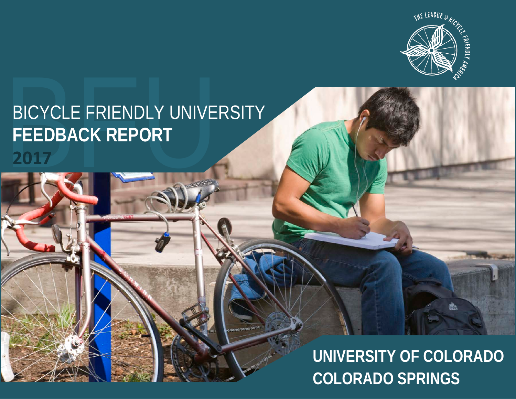

# BICYCLE FRIENDLY UNIVERSITY<br>FEEDBACK REPORT<br>2017 **FEEDBACK REPORT**

**UNIVERSITY OF COLORADO COLORADO SPRINGS**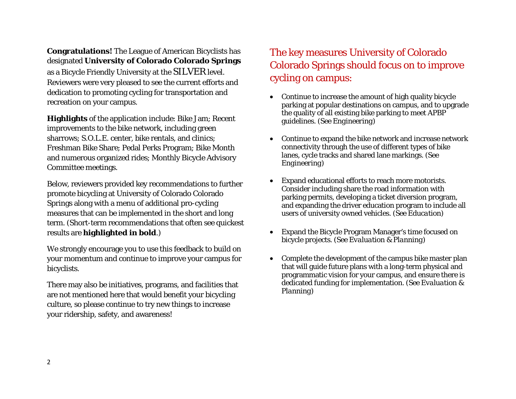**Congratulations!** The League of American Bicyclists has designated **University of Colorado Colorado Springs** as a Bicycle Friendly University at the SILVER level. Reviewers were very pleased to see the current efforts and dedication to promoting cycling for transportation and recreation on your campus.

**Highlights** of the application include: Bike Jam; Recent improvements to the bike network, including green sharrows; S.O.L.E. center, bike rentals, and clinics; Freshman Bike Share; Pedal Perks Program; Bike Month and numerous organized rides; Monthly Bicycle Advisory Committee meetings.

Below, reviewers provided key recommendations to further promote bicycling at University of Colorado Colorado Springs along with a menu of additional pro-cycling measures that can be implemented in the short and long term*.* (Short-term recommendations that often see quickest results are **highlighted in bold**.)

We strongly encourage you to use this feedback to build on your momentum and continue to improve your campus for bicyclists.

There may also be initiatives, programs, and facilities that are not mentioned here that would benefit your bicycling culture, so please continue to try new things to increase your ridership, safety, and awareness!

# The key measures University of Colorado Colorado Springs should focus on to improve cycling on campus:

- Continue to increase the amount of high quality bicycle parking at popular destinations on campus, and to upgrade the quality of all existing bike parking to meet APBP guidelines. *(See Engineering)*
- Continue to expand the bike network and increase network connectivity through the use of different types of bike lanes, cycle tracks and shared lane markings. *(See Engineering)*
- Expand educational efforts to reach more motorists. Consider including share the road information with parking permits, developing a ticket diversion program, and expanding the driver education program to include all users of university owned vehicles. *(See Education)*
- Expand the Bicycle Program Manager's time focused on bicycle projects. *(See Evaluation & Planning)*
- Complete the development of the campus bike master plan that will guide future plans with a long-term physical and programmatic vision for your campus, and ensure there is dedicated funding for implementation. *(See Evaluation & Planning)*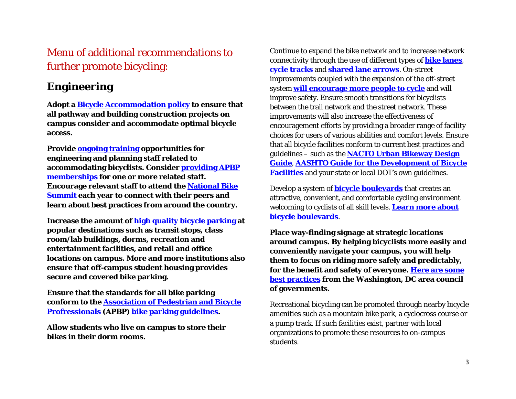# Menu of additional recommendations to further promote bicycling:

## **Engineering**

**Adopt a [Bicycle Accommodation policy](https://sustain.olemiss.edu/bicycle-pedestrian-accommodation-policy/) to ensure that all pathway and building construction projects on campus consider and accommodate optimal bicycle access.** 

**Provide [ongoing training](http://www.nhi.fhwa.dot.gov/training/course_search.aspx?tab=0&key=bicycle142046&course_no=142046&res=1) opportunities for engineering and planning staff related to accommodating bicyclists. Consider [providing APBP](http://www.apbp.org/)  [memberships](http://www.apbp.org/) for one or more related staff. Encourage relevant staff to attend the [National Bike](http://bikeleague.org/summit)  [Summit](http://bikeleague.org/summit) each year to connect with their peers and learn about best practices from around the country.** 

**Increase the amount of [high quality bicycle parking](http://www.pedbikeinfo.org/planning/facilities_bike_bikeparking.cfm) at popular destinations such as transit stops, class room/lab buildings, dorms, recreation and entertainment facilities, and retail and office locations on campus. More and more institutions also ensure that off-campus student housing provides secure and covered bike parking.** 

**Ensure that the standards for all bike parking conform to the [Association of Pedestrian and Bicycle](http://www.apbp.org/)  [Profressionals](http://www.apbp.org/) (APBP) [bike parking guidelines.](http://www.apbp.org/?page=Publications)**

**Allow students who live on campus to store their bikes in their dorm rooms.** 

Continue to expand the bike network and to increase network connectivity through the use of different types of **[bike lanes](http://nacto.org/cities-for-cycling/design-guide/bike-lanes/)**, **[cycle tracks](http://nacto.org/cities-for-cycling/design-guide/cycle-tracks/)** and **[shared lane arrows](http://nacto.org/cities-for-cycling/design-guide/bikeway-signing-marking/shared-lane-marking/)**. On-street improvements coupled with the expansion of the off-street system **[will encourage more people to cycle](http://www.springerlink.com/content/n822p50241p66113/)** and will improve safety. Ensure smooth transitions for bicyclists between the trail network and the street network. These improvements will also increase the effectiveness of encouragement efforts by providing a broader range of facility choices for users of various abilities and comfort levels. Ensure that all bicycle facilities conform to current best practices and guidelines – such as the **[NACTO Urban Bikeway Design](http://nacto.org/cities-for-cycling/design-guide/)  [Guide](http://nacto.org/cities-for-cycling/design-guide/)**, **AASHTO Guide for [the Development of Bicycle](https://bookstore.transportation.org/item_details.aspx?ID=1943)  [Facilities](https://bookstore.transportation.org/item_details.aspx?ID=1943)** and your state or local DOT's own guidelines.

Develop a system of **[bicycle boulevards](https://en.wikipedia.org/wiki/Bicycle_boulevard)** that creates an attractive, convenient, and comfortable cycling environment welcoming to cyclists of all skill levels. **[Learn more about](http://nacto.org/publication/urban-bikeway-design-guide/bicycle-boulevards/)  [bicycle boulevards](http://nacto.org/publication/urban-bikeway-design-guide/bicycle-boulevards/)**.

**Place way-finding signage at strategic locations around campus. By helping bicyclists more easily and conveniently navigate your campus, you will help them to focus on riding more safely and predictably, for the benefit and safety of everyone. [Here are some](http://www.mwcog.org/uploads/committee-documents/t1dZW1k20070516090831.pdf)  [best practices](http://www.mwcog.org/uploads/committee-documents/t1dZW1k20070516090831.pdf) from the Washington, DC area council of governments.** 

Recreational bicycling can be promoted through nearby bicycle amenities such as a mountain bike park, a cyclocross course or a pump track. If such facilities exist, partner with local organizations to promote these resources to on-campus students.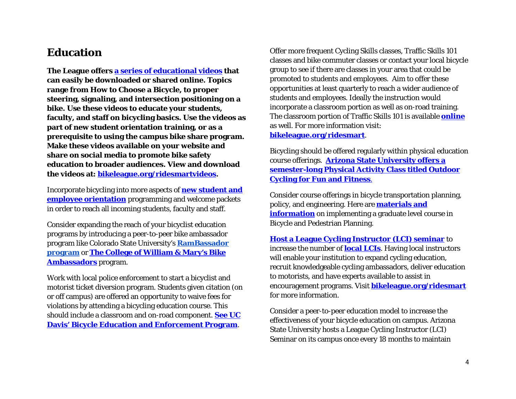#### **Education**

**The League offers [a series of educational videos](http://bikeleague.org/ridesmartvideos) that can easily be downloaded or shared online. Topics range from How to Choose a Bicycle, to proper steering, signaling, and intersection positioning on a bike. Use these videos to educate your students, faculty, and staff on bicycling basics. Use the videos as part of new student orientation training, or as a prerequisite to using the campus bike share program. Make these videos available on your website and share on social media to promote bike safety education to broader audiences. View and download the videos at: [bikeleague.org/ridesmartvideos.](http://bikeleague.org/ridesmartvideos)** 

Incorporate bicycling into more aspects of **[new student and](http://transportation.stanford.edu/nso-bike/)  [employee orientation](http://transportation.stanford.edu/nso-bike/)** programming and welcome packets in order to reach all incoming students, faculty and staff.

Consider expanding the reach of your bicyclist education programs by introducing a peer-to-peer bike ambassador program like Colorado State University's **[RamBassador](http://www.collegian.com/2014/11/rambassadors-educate-bicyclists-without-giving-tickets/100159/)  [program](http://www.collegian.com/2014/11/rambassadors-educate-bicyclists-without-giving-tickets/100159/)** or **[The College of William & Mary's Bike](http://www.wm.edu/offices/auxiliary/parkingandtransportation/transportation/bike/ambassadors/index.php)  [Ambassadors](http://www.wm.edu/offices/auxiliary/parkingandtransportation/transportation/bike/ambassadors/index.php)** program.

Work with local police enforcement to start a bicyclist and motorist ticket diversion program. Students given citation (on or off campus) are offered an opportunity to waive fees for violations by attending a bicycling education course. This should include a classroom and on-road component. **[See UC](https://secure.taps.ucdavis.edu/beep/)  [Davis' Bicycle Education and Enforcement Program](https://secure.taps.ucdavis.edu/beep/)**.

Offer more frequent Cycling Skills classes, Traffic Skills 101 classes and bike commuter classes or contact your local bicycle group to see if there are classes in your area that could be promoted to students and employees. Aim to offer these opportunities at least quarterly to reach a wider audience of students and employees. Ideally the instruction would incorporate a classroom portion as well as on-road training. The classroom portion of Traffic Skills 101 is available **[online](http://bikeed.org/default.aspx)** as well. For more information visit: **[bikeleague.org/ridesmart](http://www.bikeleague.org/ridesmart)**.

Bicycling should be offered regularly within physical education course offerings. **[Arizona State University offers a](http://bikeleague.org/sites/default/files/ASU_PPE_240_Cycling_Class_Flyer.jpg)  [semester-long Physical Activity Class titled Outdoor](http://bikeleague.org/sites/default/files/ASU_PPE_240_Cycling_Class_Flyer.jpg)  [Cycling for Fun and Fitness](http://bikeleague.org/sites/default/files/ASU_PPE_240_Cycling_Class_Flyer.jpg)**.

Consider course offerings in bicycle transportation planning, policy, and engineering. Here are **[materials and](http://www.pedbikeinfo.org/training/courses_masters.cfm)  [information](http://www.pedbikeinfo.org/training/courses_masters.cfm)** on implementing a graduate level course in Bicycle and Pedestrian Planning.

**[Host a League Cycling Instructor \(LCI\) seminar](http://bikeleague.org/sites/default/files/LCI_seminar_organizer_FAQs.pdf)** to increase the number of **[local LCIs](http://bikeleague.org/content/become-instructor)**. Having local instructors will enable your institution to expand cycling education, recruit knowledgeable cycling ambassadors, deliver education to motorists, and have experts available to assist in encouragement programs. Visit **[bikeleague.org/ridesmart](http://www.bikeleague.org/ridesmart)** for more information.

Consider a peer-to-peer education model to increase the effectiveness of your bicycle education on campus. Arizona State University hosts a League Cycling Instructor (LCI) Seminar on its campus once every 18 months to maintain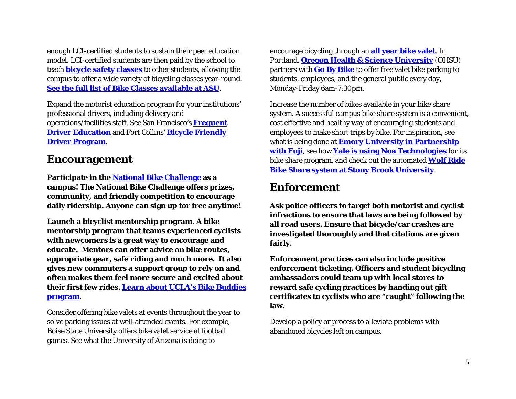enough LCI-certified students to sustain their peer education model. LCI-certified students are then paid by the school to teach **[bicycle safety classes](https://www.eventbrite.com/e/tempe-feb18-ts101-part-1-bicycle-basics-tickets-15476184685)** to other students, allowing the campus to offer a wide variety of bicycling classes year-round. **[See the full list of Bike Classes available at ASU](https://eoss.asu.edu/wellness/wheeldevils/bikesclasses)**.

Expand the motorist education program for your institutions' professional drivers, including delivery and operations/facilities staff. See San Francisco's **[Frequent](http://www.sfbike.org/our-work/safety-education/driver-education/)  Driver [Education](http://www.sfbike.org/our-work/safety-education/driver-education/)** and Fort Collins' **[Bicycle Friendly](https://www.fcgov.com/bicycling/bike-friendly-driver-program.php)  [Driver Program](https://www.fcgov.com/bicycling/bike-friendly-driver-program.php)**.

#### **Encouragement**

**Participate in the [National Bike Challenge](https://nationalbikechallenge.org/) as a campus! The National Bike Challenge offers prizes, community, and friendly competition to encourage daily ridership. Anyone can sign up for free anytime!** 

**Launch a bicyclist mentorship program. A bike mentorship program that teams experienced cyclists with newcomers is a great way to encourage and educate. Mentors can offer advice on bike routes, appropriate gear, safe riding and much more. It also gives new commuters a support group to rely on and often makes them feel more secure and excited about their first few rides. [Learn about UCLA's Bike Buddies](https://bikeucla.wordpress.com/ucla-bike-buddies-2/)  [program.](https://bikeucla.wordpress.com/ucla-bike-buddies-2/)** 

Consider offering bike valets at events throughout the year to solve parking issues at well-attended events. For example, Boise State University offers bike valet service at football games. See what the University of Arizona is doing to

encourage bicycling through an **[all year bike valet](https://parking.arizona.edu/bicycle/valet/)**. In Portland, **[Oregon Health & Science University](http://www.ohsu.edu/xd/about/services/transportation-and-parking/biking/bicycle-facilities.cfm)** (OHSU) partners with **[Go By Bike](http://www.gobybikepdx.com/)** to offer free valet bike parking to students, employees, and the general public every day, Monday-Friday 6am-7:30pm.

Increase the number of bikes available in your bike share system. A successful campus bike share system is a convenient, cost effective and healthy way of encouraging students and employees to make short trips by bike. For inspiration, see what is being done at **[Emory University in Partnership](http://bike.emory.edu/ride/bike-share/)  [with Fuji](http://bike.emory.edu/ride/bike-share/)**, see how **[Yale is using Noa Technologies](http://to.yale.edu/bikeshare)** for its bike share program, and check out the automated **[Wolf Ride](http://www.stonybrook.edu/sustainability/biking-at-stony-brook/wolf-ride-bike-share.shtml)  [Bike Share system at Stony Brook University](http://www.stonybrook.edu/sustainability/biking-at-stony-brook/wolf-ride-bike-share.shtml)**.

#### **Enforcement**

**Ask police officers to target both motorist and cyclist infractions to ensure that laws are being followed by all road users. Ensure that bicycle/car crashes are investigated thoroughly and that citations are given fairly.** 

**Enforcement practices can also include positive enforcement ticketing. Officers and student bicycling ambassadors could team up with local stores to reward safe cycling practices by handing out gift certificates to cyclists who are "caught" following the law.** 

Develop a policy or process to alleviate problems with abandoned bicycles left on campus.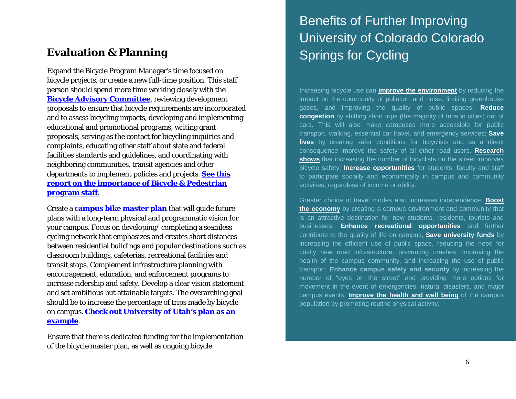### **Evaluation & Planning**

Expand the Bicycle Program Manager's time focused on bicycle projects, or create a new full-time position. This staff person should spend more time working closely with the **[Bicycle Advisory Committee](https://transportation.wisc.edu/transportation/bike_committee.aspx)**, reviewing development proposals to ensure that bicycle requirements are incorporated and to assess bicycling impacts, developing and implementing educational and promotional programs, writing grant proposals, serving as the contact for bicycling inquiries and complaints, educating other staff about state and federal facilities standards and guidelines, and coordinating with neighboring communities, transit agencies and other departments to implement policies and projects. **[See this](http://www.advocacyadvance.org/site_images/content/why_bike_ped_staff_april_2010.pdf)  [report on the importance of Bicycle & Pedestrian](http://www.advocacyadvance.org/site_images/content/why_bike_ped_staff_april_2010.pdf)  [program staff](http://www.advocacyadvance.org/site_images/content/why_bike_ped_staff_april_2010.pdf)**.

Create a **[campus bike master plan](http://www.bikewalk.org/pdfs/BMP_RoadMap.pdf)** that will guide future plans with a long-term physical and programmatic vision for your campus. Focus on developing/ completing a seamless cycling network that emphasizes and creates short distances between residential buildings and popular destinations such as classroom buildings, cafeterias, recreational facilities and transit stops. Complement infrastructure planning with encouragement, education, and enforcement programs to increase ridership and safety. Develop a clear vision statement and set ambitious but attainable targets. The overarching goal should be to increase the percentage of trips made by bicycle on campus. **[Check out University of Utah's plan as an](http://facilities.utah.edu/static-content/facilitiesmanagement/files/pdf/UniversityOfUtah-BicycleMasterPlan.pdf)  [example](http://facilities.utah.edu/static-content/facilitiesmanagement/files/pdf/UniversityOfUtah-BicycleMasterPlan.pdf)**.

Ensure that there is dedicated funding for the implementation of the bicycle master plan, as well as ongoing bicycle

# Benefits of Further Improving University of Colorado Colorado Springs for Cycling

Increasing bicycle use can **improve the [environment](http://www.pedbikeinfo.org/data/factsheet_environmental.cfm)** by reducing the impact on the community of pollution and noise, limiting greenhouse gases, and improving the quality of public spaces; **Reduce congestion** by shifting short trips (the majority of trips in cities) out of cars. This will also make campuses more accessible for public transport, walking, essential car travel, and emergency services; **Save lives** by creating safer conditions for bicyclists and as a direct consequence improve the safety of all other road users. **[Research](http://www.cycle-helmets.com/safety_in_numbers2.pdf)  [shows](http://www.cycle-helmets.com/safety_in_numbers2.pdf)** that increasing the number of bicyclists on the street improves bicycle safety; **Increase opportunities** for students, faculty and staff to participate socially and economically in campus and community activities, regardless of income or ability.

Greater choice of travel modes also increases independence; **[Boost](http://industry.traveloregon.com/wp-content/uploads/2013/02/2008portlandbicyclerelatedeconomyreport.pdf)  [the economy](http://industry.traveloregon.com/wp-content/uploads/2013/02/2008portlandbicyclerelatedeconomyreport.pdf)** by creating a campus environment and community that is an attractive destination for new students, residents, tourists and businesses; **Enhance recreational opportunities** and further contribute to the quality of life on campus; **[Save university funds](http://www.pedbikeinfo.org/data/factsheet_economic.cfm)** by increasing the efficient use of public space, reducing the need for costly new road infrastructure, preventing crashes, improving the health of the campus community, and increasing the use of public transport; **Enhance campus safety and security** by increasing the number of "eyes on the street" and providing more options for movement in the event of emergencies, natural disasters, and major campus events; **[Improve the health and well being](http://bikeleague.org/sites/default/files/bikeleague/bikeleague.org/programs/bicyclefriendlyamerica/communities/pdfs/health_risks_and_benefits_of_cycling_barcelona_study.pdf)** of the campus population by promoting routine physical activity.